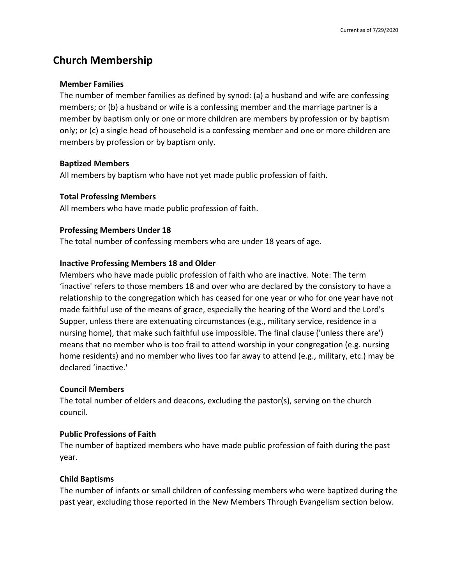# **Church Membership**

### **Member Families**

The number of member families as defined by synod: (a) a husband and wife are confessing members; or (b) a husband or wife is a confessing member and the marriage partner is a member by baptism only or one or more children are members by profession or by baptism only; or (c) a single head of household is a confessing member and one or more children are members by profession or by baptism only.

# **Baptized Members**

All members by baptism who have not yet made public profession of faith.

# **Total Professing Members**

All members who have made public profession of faith.

# **Professing Members Under 18**

The total number of confessing members who are under 18 years of age.

# **Inactive Professing Members 18 and Older**

Members who have made public profession of faith who are inactive. Note: The term 'inactive' refers to those members 18 and over who are declared by the consistory to have a relationship to the congregation which has ceased for one year or who for one year have not made faithful use of the means of grace, especially the hearing of the Word and the Lord's Supper, unless there are extenuating circumstances (e.g., military service, residence in a nursing home), that make such faithful use impossible. The final clause ('unless there are') means that no member who is too frail to attend worship in your congregation (e.g. nursing home residents) and no member who lives too far away to attend (e.g., military, etc.) may be declared 'inactive.'

#### **Council Members**

The total number of elders and deacons, excluding the pastor(s), serving on the church council.

# **Public Professions of Faith**

The number of baptized members who have made public profession of faith during the past year.

# **Child Baptisms**

The number of infants or small children of confessing members who were baptized during the past year, excluding those reported in the New Members Through Evangelism section below.